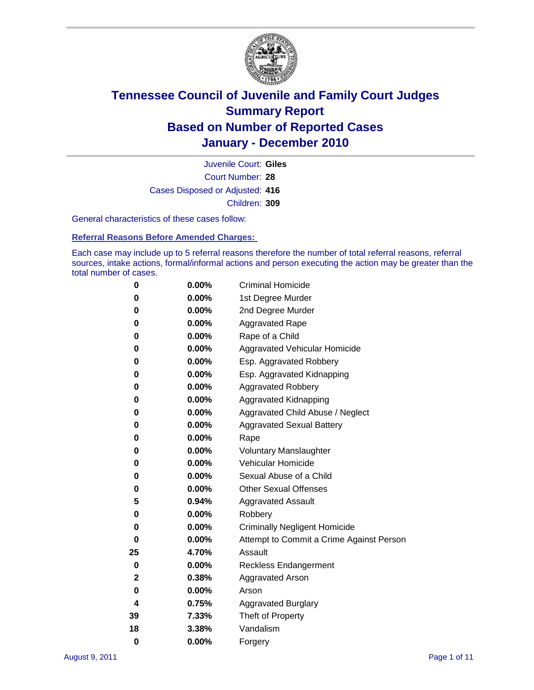

Court Number: **28** Juvenile Court: **Giles** Cases Disposed or Adjusted: **416** Children: **309**

General characteristics of these cases follow:

**Referral Reasons Before Amended Charges:** 

Each case may include up to 5 referral reasons therefore the number of total referral reasons, referral sources, intake actions, formal/informal actions and person executing the action may be greater than the total number of cases.

| 0  | 0.00% | <b>Criminal Homicide</b>                 |
|----|-------|------------------------------------------|
| 0  | 0.00% | 1st Degree Murder                        |
| 0  | 0.00% | 2nd Degree Murder                        |
| 0  | 0.00% | <b>Aggravated Rape</b>                   |
| 0  | 0.00% | Rape of a Child                          |
| 0  | 0.00% | Aggravated Vehicular Homicide            |
| 0  | 0.00% | Esp. Aggravated Robbery                  |
| 0  | 0.00% | Esp. Aggravated Kidnapping               |
| 0  | 0.00% | Aggravated Robbery                       |
| 0  | 0.00% | Aggravated Kidnapping                    |
| 0  | 0.00% | Aggravated Child Abuse / Neglect         |
| 0  | 0.00% | <b>Aggravated Sexual Battery</b>         |
| 0  | 0.00% | Rape                                     |
| 0  | 0.00% | <b>Voluntary Manslaughter</b>            |
| 0  | 0.00% | Vehicular Homicide                       |
| 0  | 0.00% | Sexual Abuse of a Child                  |
| 0  | 0.00% | <b>Other Sexual Offenses</b>             |
| 5  | 0.94% | <b>Aggravated Assault</b>                |
| 0  | 0.00% | Robbery                                  |
| 0  | 0.00% | <b>Criminally Negligent Homicide</b>     |
| 0  | 0.00% | Attempt to Commit a Crime Against Person |
| 25 | 4.70% | Assault                                  |
| 0  | 0.00% | <b>Reckless Endangerment</b>             |
| 2  | 0.38% | <b>Aggravated Arson</b>                  |
| 0  | 0.00% | Arson                                    |
| 4  | 0.75% | <b>Aggravated Burglary</b>               |
| 39 | 7.33% | Theft of Property                        |
| 18 | 3.38% | Vandalism                                |
| 0  | 0.00% | Forgery                                  |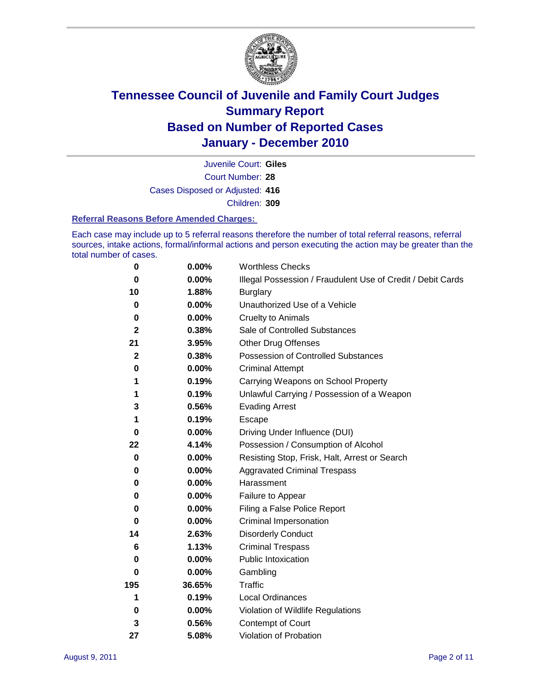

Court Number: **28** Juvenile Court: **Giles** Cases Disposed or Adjusted: **416** Children: **309**

#### **Referral Reasons Before Amended Charges:**

Each case may include up to 5 referral reasons therefore the number of total referral reasons, referral sources, intake actions, formal/informal actions and person executing the action may be greater than the total number of cases.

| $\pmb{0}$    | 0.00%    | <b>Worthless Checks</b>                                     |
|--------------|----------|-------------------------------------------------------------|
| 0            | 0.00%    | Illegal Possession / Fraudulent Use of Credit / Debit Cards |
| 10           | 1.88%    | <b>Burglary</b>                                             |
| $\bf{0}$     | $0.00\%$ | Unauthorized Use of a Vehicle                               |
| 0            | $0.00\%$ | <b>Cruelty to Animals</b>                                   |
| $\mathbf{2}$ | 0.38%    | Sale of Controlled Substances                               |
| 21           | 3.95%    | <b>Other Drug Offenses</b>                                  |
| $\mathbf{2}$ | 0.38%    | Possession of Controlled Substances                         |
| 0            | $0.00\%$ | <b>Criminal Attempt</b>                                     |
| 1            | 0.19%    | Carrying Weapons on School Property                         |
| 1            | 0.19%    | Unlawful Carrying / Possession of a Weapon                  |
| 3            | 0.56%    | <b>Evading Arrest</b>                                       |
| 1            | 0.19%    | Escape                                                      |
| 0            | $0.00\%$ | Driving Under Influence (DUI)                               |
| 22           | 4.14%    | Possession / Consumption of Alcohol                         |
| 0            | 0.00%    | Resisting Stop, Frisk, Halt, Arrest or Search               |
| 0            | $0.00\%$ | <b>Aggravated Criminal Trespass</b>                         |
| 0            | $0.00\%$ | Harassment                                                  |
| 0            | 0.00%    | Failure to Appear                                           |
| 0            | $0.00\%$ | Filing a False Police Report                                |
| $\bf{0}$     | 0.00%    | Criminal Impersonation                                      |
| 14           | 2.63%    | <b>Disorderly Conduct</b>                                   |
| 6            | 1.13%    | <b>Criminal Trespass</b>                                    |
| $\bf{0}$     | $0.00\%$ | <b>Public Intoxication</b>                                  |
| 0            | $0.00\%$ | Gambling                                                    |
| 195          | 36.65%   | <b>Traffic</b>                                              |
| 1            | 0.19%    | Local Ordinances                                            |
| 0            | 0.00%    | Violation of Wildlife Regulations                           |
| 3            | 0.56%    | Contempt of Court                                           |
| 27           | 5.08%    | Violation of Probation                                      |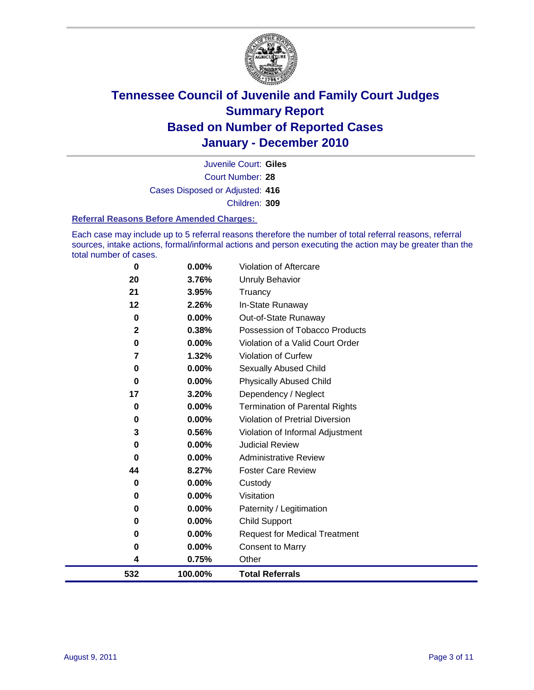

Court Number: **28** Juvenile Court: **Giles** Cases Disposed or Adjusted: **416** Children: **309**

#### **Referral Reasons Before Amended Charges:**

Each case may include up to 5 referral reasons therefore the number of total referral reasons, referral sources, intake actions, formal/informal actions and person executing the action may be greater than the total number of cases.

| 0           | 0.00%   | Violation of Aftercare                 |
|-------------|---------|----------------------------------------|
| 20          | 3.76%   | <b>Unruly Behavior</b>                 |
| 21          | 3.95%   | Truancy                                |
| 12          | 2.26%   | In-State Runaway                       |
| $\bf{0}$    | 0.00%   | Out-of-State Runaway                   |
| $\mathbf 2$ | 0.38%   | Possession of Tobacco Products         |
| $\bf{0}$    | 0.00%   | Violation of a Valid Court Order       |
| 7           | 1.32%   | Violation of Curfew                    |
| $\bf{0}$    | 0.00%   | Sexually Abused Child                  |
| $\bf{0}$    | 0.00%   | <b>Physically Abused Child</b>         |
| 17          | 3.20%   | Dependency / Neglect                   |
| 0           | 0.00%   | <b>Termination of Parental Rights</b>  |
| $\bf{0}$    | 0.00%   | <b>Violation of Pretrial Diversion</b> |
| 3           | 0.56%   | Violation of Informal Adjustment       |
| $\bf{0}$    | 0.00%   | <b>Judicial Review</b>                 |
| 0           | 0.00%   | <b>Administrative Review</b>           |
| 44          | 8.27%   | <b>Foster Care Review</b>              |
| 0           | 0.00%   | Custody                                |
| 0           | 0.00%   | Visitation                             |
| 0           | 0.00%   | Paternity / Legitimation               |
| 0           | 0.00%   | Child Support                          |
| $\bf{0}$    | 0.00%   | <b>Request for Medical Treatment</b>   |
| 0           | 0.00%   | <b>Consent to Marry</b>                |
| 4           | 0.75%   | Other                                  |
| 532         | 100.00% | <b>Total Referrals</b>                 |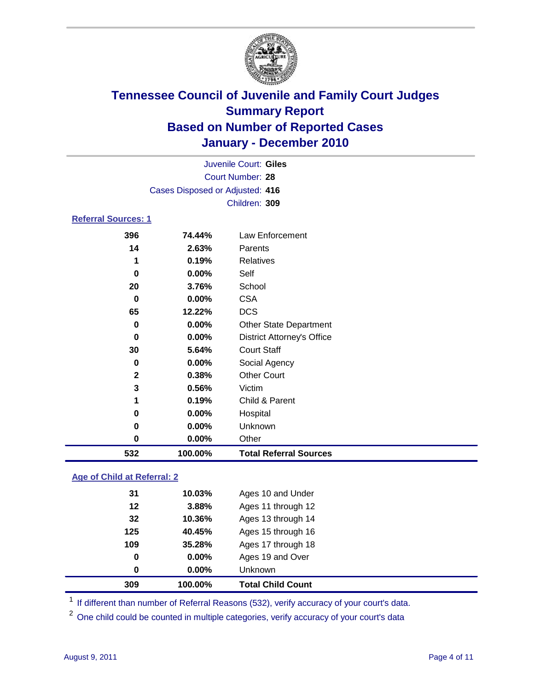

| Juvenile Court: Giles           |               |                                   |  |  |  |  |  |
|---------------------------------|---------------|-----------------------------------|--|--|--|--|--|
| Court Number: 28                |               |                                   |  |  |  |  |  |
| Cases Disposed or Adjusted: 416 |               |                                   |  |  |  |  |  |
|                                 | Children: 309 |                                   |  |  |  |  |  |
| <b>Referral Sources: 1</b>      |               |                                   |  |  |  |  |  |
| 396                             | 74.44%        | Law Enforcement                   |  |  |  |  |  |
| 14                              | 2.63%         | Parents                           |  |  |  |  |  |
| 1                               | 0.19%         | Relatives                         |  |  |  |  |  |
| 0                               | 0.00%         | Self                              |  |  |  |  |  |
| 20                              | 3.76%         | School                            |  |  |  |  |  |
| 0                               | 0.00%         | <b>CSA</b>                        |  |  |  |  |  |
| 65                              | 12.22%        | <b>DCS</b>                        |  |  |  |  |  |
| 0                               | 0.00%         | <b>Other State Department</b>     |  |  |  |  |  |
| 0                               | 0.00%         | <b>District Attorney's Office</b> |  |  |  |  |  |
| 30                              | 5.64%         | <b>Court Staff</b>                |  |  |  |  |  |
| 0                               | 0.00%         | Social Agency                     |  |  |  |  |  |
| $\mathbf{2}$                    | 0.38%         | <b>Other Court</b>                |  |  |  |  |  |
| 3                               | 0.56%         | Victim                            |  |  |  |  |  |
| 1                               | 0.19%         | Child & Parent                    |  |  |  |  |  |
| 0                               | 0.00%         | Hospital                          |  |  |  |  |  |
| 0                               | $0.00\%$      | Unknown                           |  |  |  |  |  |
| 0                               | 0.00%         | Other                             |  |  |  |  |  |

#### **Age of Child at Referral: 2**

| 309 | 100.00%       | <b>Total Child Count</b> |
|-----|---------------|--------------------------|
|     | 0.00%<br>0    | <b>Unknown</b>           |
|     | 0<br>$0.00\%$ | Ages 19 and Over         |
| 109 | 35.28%        | Ages 17 through 18       |
| 125 | 40.45%        | Ages 15 through 16       |
| 32  | 10.36%        | Ages 13 through 14       |
| 12  | 3.88%         | Ages 11 through 12       |
| 31  | 10.03%        | Ages 10 and Under        |
|     |               |                          |

<sup>1</sup> If different than number of Referral Reasons (532), verify accuracy of your court's data.

**100.00% Total Referral Sources**

<sup>2</sup> One child could be counted in multiple categories, verify accuracy of your court's data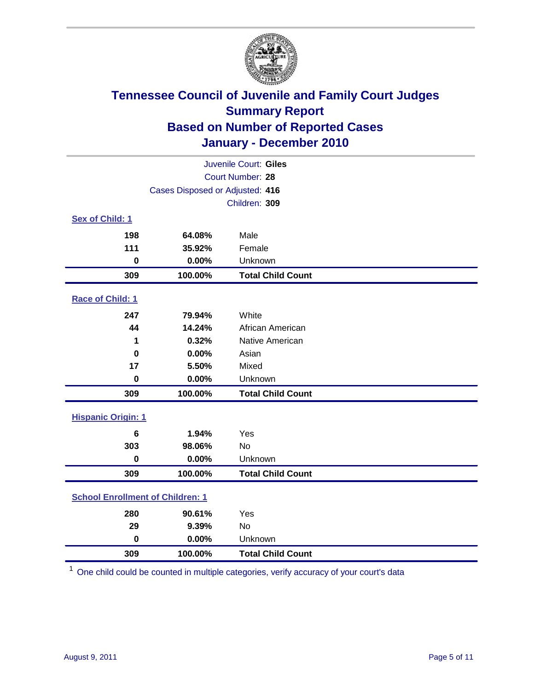

| Juvenile Court: Giles                   |                         |                          |  |
|-----------------------------------------|-------------------------|--------------------------|--|
|                                         | <b>Court Number: 28</b> |                          |  |
| Cases Disposed or Adjusted: 416         |                         |                          |  |
|                                         |                         | Children: 309            |  |
| Sex of Child: 1                         |                         |                          |  |
| 198                                     | 64.08%                  | Male                     |  |
| 111                                     | 35.92%                  | Female                   |  |
| $\mathbf 0$                             | 0.00%                   | Unknown                  |  |
| 309                                     | 100.00%                 | <b>Total Child Count</b> |  |
| Race of Child: 1                        |                         |                          |  |
| 247                                     | 79.94%                  | White                    |  |
| 44                                      | 14.24%                  | African American         |  |
| 1                                       | 0.32%                   | Native American          |  |
| $\bf{0}$                                | 0.00%                   | Asian                    |  |
| 17                                      | 5.50%                   | Mixed                    |  |
| $\mathbf 0$                             | 0.00%                   | Unknown                  |  |
| 309                                     | 100.00%                 | <b>Total Child Count</b> |  |
| <b>Hispanic Origin: 1</b>               |                         |                          |  |
| 6                                       | 1.94%                   | Yes                      |  |
| 303                                     | 98.06%                  | No                       |  |
| $\mathbf 0$                             | 0.00%                   | Unknown                  |  |
| 309                                     | 100.00%                 | <b>Total Child Count</b> |  |
| <b>School Enrollment of Children: 1</b> |                         |                          |  |
| 280                                     | 90.61%                  | Yes                      |  |
| 29                                      | 9.39%                   | No                       |  |
| $\mathbf 0$                             | 0.00%                   | Unknown                  |  |
| 309                                     | 100.00%                 | <b>Total Child Count</b> |  |

One child could be counted in multiple categories, verify accuracy of your court's data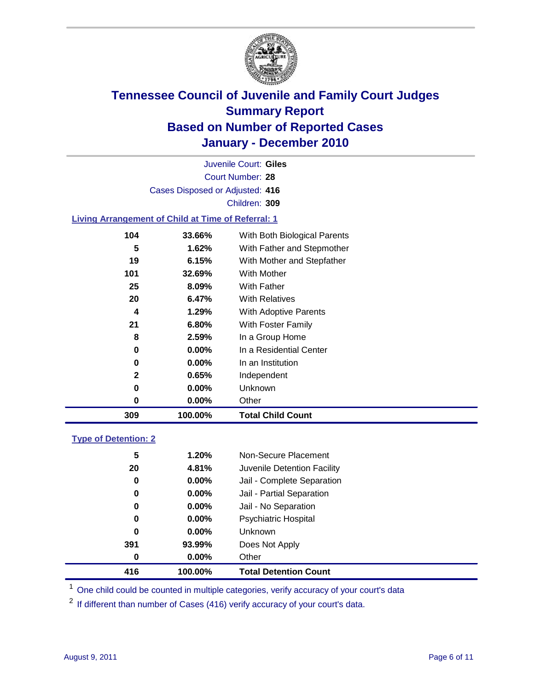

Court Number: **28** Juvenile Court: **Giles** Cases Disposed or Adjusted: **416** Children: **309**

#### **Living Arrangement of Child at Time of Referral: 1**

| 0            | 0.00%    | Other                        |
|--------------|----------|------------------------------|
|              |          |                              |
|              |          | <b>Unknown</b>               |
| $\mathbf{2}$ | 0.65%    | Independent                  |
| 0            | $0.00\%$ | In an Institution            |
| 0            | $0.00\%$ | In a Residential Center      |
| 8            | 2.59%    | In a Group Home              |
| 21           | 6.80%    | With Foster Family           |
| 4            | 1.29%    | With Adoptive Parents        |
| 20           | 6.47%    | <b>With Relatives</b>        |
| 25           | 8.09%    | With Father                  |
| 101          | 32.69%   | With Mother                  |
| 19           | 6.15%    | With Mother and Stepfather   |
| 5            | 1.62%    | With Father and Stepmother   |
| 104          | 33.66%   | With Both Biological Parents |
|              |          | 0.00%<br>0                   |

#### **Type of Detention: 2**

| 416 | 100.00%  | <b>Total Detention Count</b> |
|-----|----------|------------------------------|
| 0   | $0.00\%$ | Other                        |
| 391 | 93.99%   | Does Not Apply               |
| 0   | $0.00\%$ | Unknown                      |
| 0   | $0.00\%$ | <b>Psychiatric Hospital</b>  |
| 0   | 0.00%    | Jail - No Separation         |
| 0   | $0.00\%$ | Jail - Partial Separation    |
| 0   | 0.00%    | Jail - Complete Separation   |
| 20  | 4.81%    | Juvenile Detention Facility  |
| 5   | 1.20%    | Non-Secure Placement         |
|     |          |                              |

<sup>1</sup> One child could be counted in multiple categories, verify accuracy of your court's data

<sup>2</sup> If different than number of Cases (416) verify accuracy of your court's data.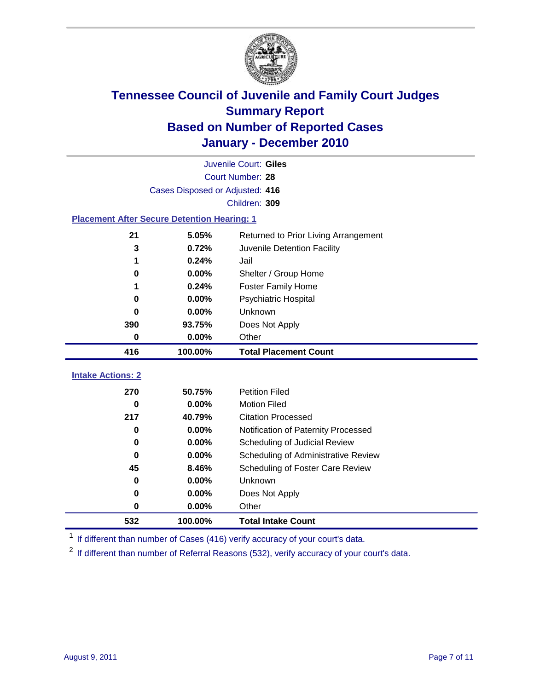

| 416                      | 100.00%  | <b>Total Placement Count</b>        |
|--------------------------|----------|-------------------------------------|
|                          |          |                                     |
| <b>Intake Actions: 2</b> |          |                                     |
|                          |          |                                     |
| 270                      | 50.75%   | <b>Petition Filed</b>               |
|                          |          |                                     |
| $\bf{0}$                 | 0.00%    | <b>Motion Filed</b>                 |
| 217                      | 40.79%   | <b>Citation Processed</b>           |
|                          | $0.00\%$ | Notification of Paternity Processed |
|                          |          |                                     |
| $\bf{0}$                 |          |                                     |
| $\bf{0}$                 | 0.00%    | Scheduling of Judicial Review       |
| $\bf{0}$                 | 0.00%    | Scheduling of Administrative Review |
|                          |          |                                     |
| 45                       | 8.46%    | Scheduling of Foster Care Review    |
| $\bf{0}$                 | 0.00%    | Unknown                             |
| 0                        | 0.00%    | Does Not Apply                      |
| 0                        | 0.00%    | Other                               |

<sup>1</sup> If different than number of Cases (416) verify accuracy of your court's data.

<sup>2</sup> If different than number of Referral Reasons (532), verify accuracy of your court's data.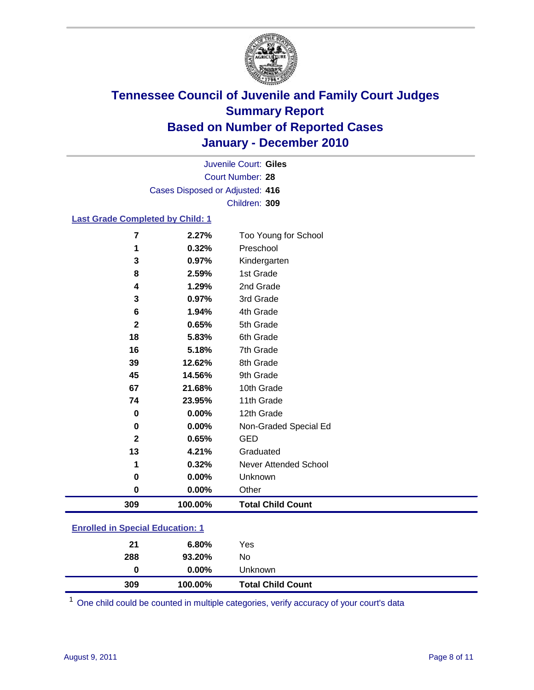

Court Number: **28** Juvenile Court: **Giles** Cases Disposed or Adjusted: **416** Children: **309**

#### **Last Grade Completed by Child: 1**

| 309                     | 100.00% | <b>Total Child Count</b> |  |
|-------------------------|---------|--------------------------|--|
| 0                       | 0.00%   | Other                    |  |
| 0                       | 0.00%   | Unknown                  |  |
| 1                       | 0.32%   | Never Attended School    |  |
| 13                      | 4.21%   | Graduated                |  |
| $\mathbf{2}$            | 0.65%   | <b>GED</b>               |  |
| 0                       | 0.00%   | Non-Graded Special Ed    |  |
| $\bf{0}$                | 0.00%   | 12th Grade               |  |
| 74                      | 23.95%  | 11th Grade               |  |
| 67                      | 21.68%  | 10th Grade               |  |
| 45                      | 14.56%  | 9th Grade                |  |
| 39                      | 12.62%  | 8th Grade                |  |
| 16                      | 5.18%   | 7th Grade                |  |
| 18                      | 5.83%   | 6th Grade                |  |
| $\overline{\mathbf{2}}$ | 0.65%   | 5th Grade                |  |
| 6                       | 1.94%   | 4th Grade                |  |
| 3                       | 0.97%   | 3rd Grade                |  |
| 4                       | 1.29%   | 2nd Grade                |  |
| 8                       | 2.59%   | 1st Grade                |  |
| 3                       | 0.97%   | Kindergarten             |  |
| 1                       | 0.32%   | Preschool                |  |
| 7                       | 2.27%   | Too Young for School     |  |

### **Enrolled in Special Education: 1**

| 21  | $6.80\%$ | Yes                      |
|-----|----------|--------------------------|
| 288 | 93.20%   | No                       |
| 0   | $0.00\%$ | Unknown                  |
| 309 | 100.00%  | <b>Total Child Count</b> |

One child could be counted in multiple categories, verify accuracy of your court's data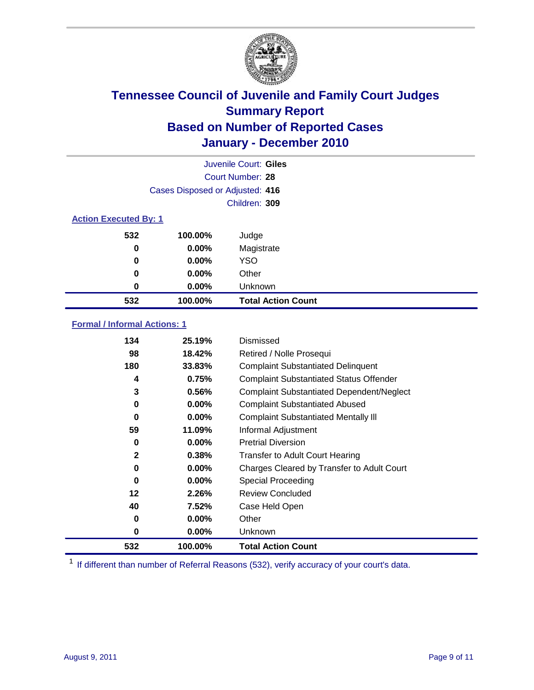

|                              | Juvenile Court: Giles           |                           |  |  |  |
|------------------------------|---------------------------------|---------------------------|--|--|--|
|                              | Court Number: 28                |                           |  |  |  |
|                              | Cases Disposed or Adjusted: 416 |                           |  |  |  |
|                              | Children: 309                   |                           |  |  |  |
| <b>Action Executed By: 1</b> |                                 |                           |  |  |  |
| 532                          | 100.00%                         | Judge                     |  |  |  |
| 0                            | 0.00%                           | Magistrate                |  |  |  |
| 0                            | 0.00%                           | <b>YSO</b>                |  |  |  |
| 0                            | 0.00%                           | Other                     |  |  |  |
| 0                            | 0.00%                           | Unknown                   |  |  |  |
| 532                          | 100.00%                         | <b>Total Action Count</b> |  |  |  |

### **Formal / Informal Actions: 1**

| 134          | 25.19%   | Dismissed                                        |
|--------------|----------|--------------------------------------------------|
| 98           | 18.42%   | Retired / Nolle Prosequi                         |
| 180          | 33.83%   | <b>Complaint Substantiated Delinquent</b>        |
| 4            | 0.75%    | <b>Complaint Substantiated Status Offender</b>   |
| 3            | 0.56%    | <b>Complaint Substantiated Dependent/Neglect</b> |
| 0            | 0.00%    | <b>Complaint Substantiated Abused</b>            |
| 0            | $0.00\%$ | <b>Complaint Substantiated Mentally III</b>      |
| 59           | 11.09%   | Informal Adjustment                              |
| 0            | $0.00\%$ | <b>Pretrial Diversion</b>                        |
| $\mathbf{2}$ | 0.38%    | <b>Transfer to Adult Court Hearing</b>           |
| 0            | $0.00\%$ | Charges Cleared by Transfer to Adult Court       |
| 0            | $0.00\%$ | <b>Special Proceeding</b>                        |
| 12           | 2.26%    | <b>Review Concluded</b>                          |
| 40           | 7.52%    | Case Held Open                                   |
| 0            | $0.00\%$ | Other                                            |
| 0            | $0.00\%$ | Unknown                                          |
| 532          | 100.00%  | <b>Total Action Count</b>                        |

<sup>1</sup> If different than number of Referral Reasons (532), verify accuracy of your court's data.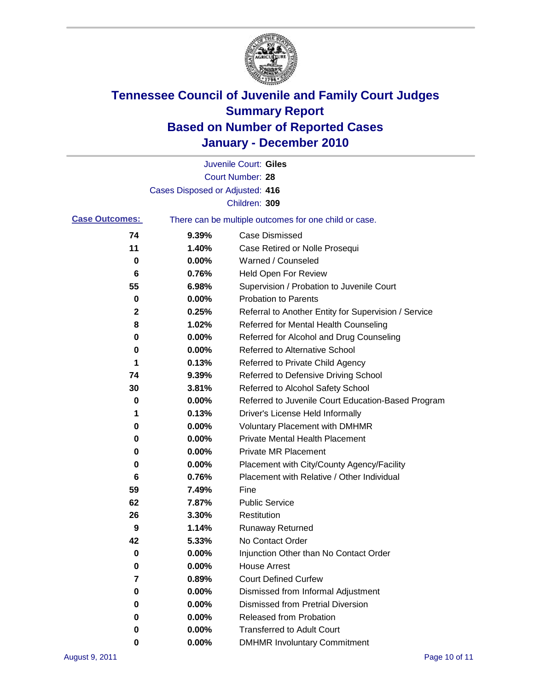

|                       |                                 | Juvenile Court: Giles                                 |
|-----------------------|---------------------------------|-------------------------------------------------------|
|                       |                                 | <b>Court Number: 28</b>                               |
|                       | Cases Disposed or Adjusted: 416 |                                                       |
|                       |                                 | Children: 309                                         |
| <b>Case Outcomes:</b> |                                 | There can be multiple outcomes for one child or case. |
| 74                    | 9.39%                           | <b>Case Dismissed</b>                                 |
| 11                    | 1.40%                           | Case Retired or Nolle Prosequi                        |
| 0                     | 0.00%                           | Warned / Counseled                                    |
| 6                     | 0.76%                           | Held Open For Review                                  |
| 55                    | 6.98%                           | Supervision / Probation to Juvenile Court             |
| 0                     | 0.00%                           | <b>Probation to Parents</b>                           |
| 2                     | 0.25%                           | Referral to Another Entity for Supervision / Service  |
| 8                     | 1.02%                           | Referred for Mental Health Counseling                 |
| 0                     | 0.00%                           | Referred for Alcohol and Drug Counseling              |
| 0                     | 0.00%                           | <b>Referred to Alternative School</b>                 |
| 1                     | 0.13%                           | Referred to Private Child Agency                      |
| 74                    | 9.39%                           | Referred to Defensive Driving School                  |
| 30                    | 3.81%                           | Referred to Alcohol Safety School                     |
| 0                     | 0.00%                           | Referred to Juvenile Court Education-Based Program    |
| 1                     | 0.13%                           | Driver's License Held Informally                      |
| 0                     | 0.00%                           | <b>Voluntary Placement with DMHMR</b>                 |
| 0                     | 0.00%                           | <b>Private Mental Health Placement</b>                |
| 0                     | 0.00%                           | <b>Private MR Placement</b>                           |
| 0                     | 0.00%                           | Placement with City/County Agency/Facility            |
| 6                     | 0.76%                           | Placement with Relative / Other Individual            |
| 59                    | 7.49%                           | Fine                                                  |
| 62                    | 7.87%                           | <b>Public Service</b>                                 |
| 26                    | 3.30%                           | Restitution                                           |
| 9                     | 1.14%                           | <b>Runaway Returned</b>                               |
| 42                    | 5.33%                           | No Contact Order                                      |
| 0                     | 0.00%                           | Injunction Other than No Contact Order                |
| 0                     | 0.00%                           | <b>House Arrest</b>                                   |
| 7                     | 0.89%                           | <b>Court Defined Curfew</b>                           |
| 0                     | 0.00%                           | Dismissed from Informal Adjustment                    |
| 0                     | 0.00%                           | <b>Dismissed from Pretrial Diversion</b>              |
| 0                     | 0.00%                           | Released from Probation                               |
| 0                     | 0.00%                           | <b>Transferred to Adult Court</b>                     |
| 0                     | 0.00%                           | <b>DMHMR Involuntary Commitment</b>                   |